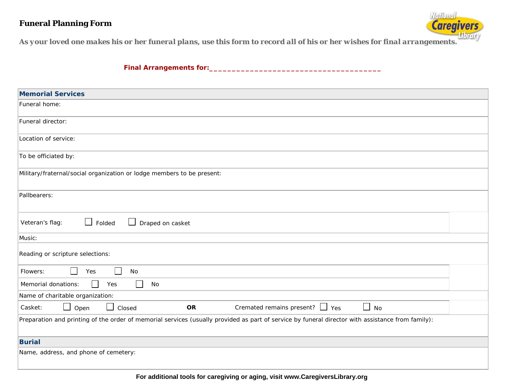## **Funeral Planning Form**



*As your loved one makes his or her funeral plans, use this form to record all of his or her wishes for final arrangements.* 

**Final Arrangements for:\_ \_ \_ \_\_\_\_\_\_\_\_\_\_\_\_\_\_\_\_\_\_\_\_\_\_\_\_\_\_\_\_\_\_\_\_\_\_\_**

| <b>Memorial Services</b>                                                                                                                          |
|---------------------------------------------------------------------------------------------------------------------------------------------------|
| Funeral home:                                                                                                                                     |
| Funeral director:                                                                                                                                 |
| Location of service:                                                                                                                              |
| To be officiated by:                                                                                                                              |
| Military/fraternal/social organization or lodge members to be present:                                                                            |
| Pallbearers:                                                                                                                                      |
| $\Box$<br>Folded<br>⊔<br>Veteran's flag:<br>Draped on casket                                                                                      |
| Music:                                                                                                                                            |
| Reading or scripture selections:                                                                                                                  |
| Flowers:<br>Yes<br>No                                                                                                                             |
| $\Box$<br>$\Box$<br>Memorial donations:<br>Yes<br>No                                                                                              |
| Name of charitable organization:                                                                                                                  |
| $\Box$ No<br>Cremated remains present? $\Box$ Yes<br><b>OR</b><br>Closed<br>Casket:<br>Open<br>$\mathbf{1}$                                       |
| Preparation and printing of the order of memorial services (usually provided as part of service by funeral director with assistance from family): |
| <b>Burial</b>                                                                                                                                     |
| Name, address, and phone of cemetery:                                                                                                             |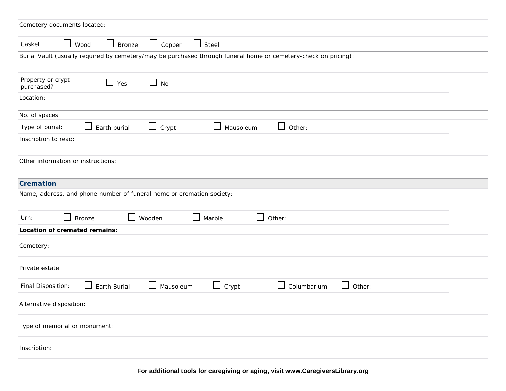| Cemetery documents located:                                                                                                                 |
|---------------------------------------------------------------------------------------------------------------------------------------------|
| Casket:<br>Steel<br>$\Box$<br>Wood<br><b>Bronze</b><br>$\Box$<br>Copper<br>$\Box$<br>$\Box$                                                 |
| Burial Vault (usually required by cemetery/may be purchased through funeral home or cemetery-check on pricing):                             |
| Property or crypt<br>$\Box$ No<br>Yes<br>purchased?                                                                                         |
| Location:                                                                                                                                   |
| No. of spaces:                                                                                                                              |
| $\Box$ Crypt<br>$\sqcup$<br>Other:<br>Type of burial:<br>Earth burial<br>Mausoleum                                                          |
| Inscription to read:                                                                                                                        |
| Other information or instructions:                                                                                                          |
| <b>Cremation</b>                                                                                                                            |
| Name, address, and phone number of funeral home or cremation society:                                                                       |
| $\perp$<br>Marble<br>Urn:<br>$\mathsf{L}$<br><b>Bronze</b><br>Wooden<br>$\blacksquare$<br>Other:                                            |
| Location of cremated remains:                                                                                                               |
| Cemetery:                                                                                                                                   |
| Private estate:                                                                                                                             |
| $\Box$<br>$\Box$<br>Final Disposition:<br>Earth Burial<br>$\Box$<br>Mausoleum<br>Crypt<br>$\overline{\phantom{a}}$<br>Columbarium<br>Other: |
| Alternative disposition:                                                                                                                    |
| Type of memorial or monument:                                                                                                               |
| Inscription:                                                                                                                                |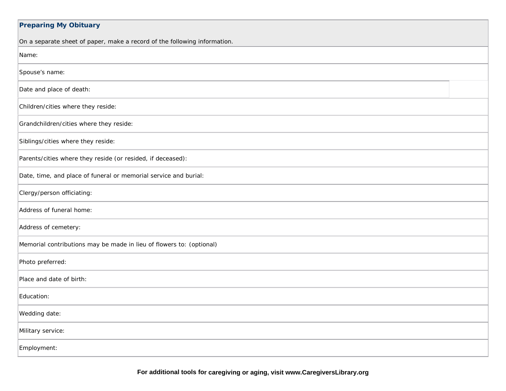| <b>Preparing My Obituary</b>                                              |
|---------------------------------------------------------------------------|
| On a separate sheet of paper, make a record of the following information. |
| Name:                                                                     |
| Spouse's name:                                                            |
| Date and place of death:                                                  |
| Children/cities where they reside:                                        |
| Grandchildren/cities where they reside:                                   |
| Siblings/cities where they reside:                                        |
| Parents/cities where they reside (or resided, if deceased):               |
| Date, time, and place of funeral or memorial service and burial:          |
| Clergy/person officiating:                                                |
| Address of funeral home:                                                  |
| Address of cemetery:                                                      |
| Memorial contributions may be made in lieu of flowers to: (optional)      |
| Photo preferred:                                                          |
| Place and date of birth:                                                  |
| Education:                                                                |
| Wedding date:                                                             |
| Military service:                                                         |
| Employment:                                                               |